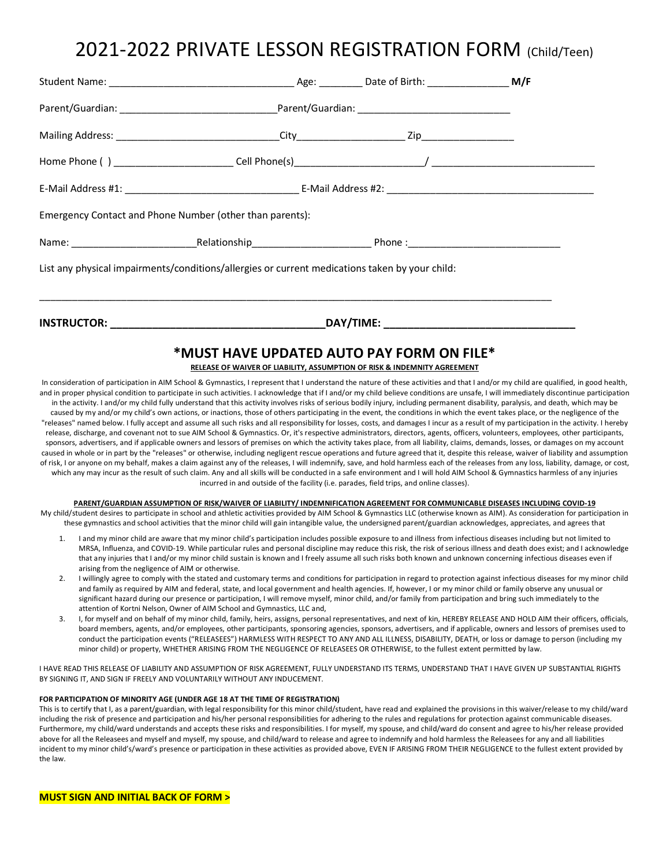# 2021-2022 PRIVATE LESSON REGISTRATION FORM (Child/Teen)

| Emergency Contact and Phone Number (other than parents): |                                                                                                |  |  |  |
|----------------------------------------------------------|------------------------------------------------------------------------------------------------|--|--|--|
|                                                          |                                                                                                |  |  |  |
|                                                          | List any physical impairments/conditions/allergies or current medications taken by your child: |  |  |  |
|                                                          |                                                                                                |  |  |  |

## **\*MUST HAVE UPDATED AUTO PAY FORM ON FILE\***

### **RELEASE OF WAIVER OF LIABILITY, ASSUMPTION OF RISK & INDEMNITY AGREEMENT**

In consideration of participation in AIM School & Gymnastics, I represent that I understand the nature of these activities and that I and/or my child are qualified, in good health, and in proper physical condition to participate in such activities. I acknowledge that if I and/or my child believe conditions are unsafe, I will immediately discontinue participation in the activity. I and/or my child fully understand that this activity involves risks of serious bodily injury, including permanent disability, paralysis, and death, which may be caused by my and/or my child's own actions, or inactions, those of others participating in the event, the conditions in which the event takes place, or the negligence of the "releases" named below. I fully accept and assume all such risks and all responsibility for losses, costs, and damages I incur as a result of my participation in the activity. I hereby release, discharge, and covenant not to sue AIM School & Gymnastics. Or, it's respective administrators, directors, agents, officers, volunteers, employees, other participants, sponsors, advertisers, and if applicable owners and lessors of premises on which the activity takes place, from all liability, claims, demands, losses, or damages on my account caused in whole or in part by the "releases" or otherwise, including negligent rescue operations and future agreed that it, despite this release, waiver of liability and assumption of risk, I or anyone on my behalf, makes a claim against any of the releases, I will indemnify, save, and hold harmless each of the releases from any loss, liability, damage, or cost, which any may incur as the result of such claim. Any and all skills will be conducted in a safe environment and I will hold AIM School & Gymnastics harmless of any injuries incurred in and outside of the facility (i.e. parades, field trips, and online classes).

#### **PARENT/GUARDIAN ASSUMPTION OF RISK/WAIVER OF LIABILITY/ INDEMNIFICATION AGREEMENT FOR COMMUNICABLE DISEASES INCLUDING COVID-19**

My child/student desires to participate in school and athletic activities provided by AIM School & Gymnastics LLC (otherwise known as AIM). As consideration for participation in these gymnastics and school activities that the minor child will gain intangible value, the undersigned parent/guardian acknowledges, appreciates, and agrees that

- 1. I and my minor child are aware that my minor child's participation includes possible exposure to and illness from infectious diseases including but not limited to MRSA, Influenza, and COVID-19. While particular rules and personal discipline may reduce this risk, the risk of serious illness and death does exist; and I acknowledge that any injuries that I and/or my minor child sustain is known and I freely assume all such risks both known and unknown concerning infectious diseases even if arising from the negligence of AIM or otherwise.
- 2. I willingly agree to comply with the stated and customary terms and conditions for participation in regard to protection against infectious diseases for my minor child and family as required by AIM and federal, state, and local government and health agencies. If, however, I or my minor child or family observe any unusual or significant hazard during our presence or participation, I will remove myself, minor child, and/or family from participation and bring such immediately to the attention of Kortni Nelson, Owner of AIM School and Gymnastics, LLC and,
- I, for myself and on behalf of my minor child, family, heirs, assigns, personal representatives, and next of kin, HEREBY RELEASE AND HOLD AIM their officers, officials, board members, agents, and/or employees, other participants, sponsoring agencies, sponsors, advertisers, and if applicable, owners and lessors of premises used to conduct the participation events ("RELEASEES") HARMLESS WITH RESPECT TO ANY AND ALL ILLNESS, DISABILITY, DEATH, or loss or damage to person (including my minor child) or property, WHETHER ARISING FROM THE NEGLIGENCE OF RELEASEES OR OTHERWISE, to the fullest extent permitted by law.

I HAVE READ THIS RELEASE OF LIABILITY AND ASSUMPTION OF RISK AGREEMENT, FULLY UNDERSTAND ITS TERMS, UNDERSTAND THAT I HAVE GIVEN UP SUBSTANTIAL RIGHTS BY SIGNING IT, AND SIGN IF FREELY AND VOLUNTARILY WITHOUT ANY INDUCEMENT.

#### **FOR PARTICIPATION OF MINORITY AGE (UNDER AGE 18 AT THE TIME OF REGISTRATION)**

This is to certify that I, as a parent/guardian, with legal responsibility for this minor child/student, have read and explained the provisions in this waiver/release to my child/ward including the risk of presence and participation and his/her personal responsibilities for adhering to the rules and regulations for protection against communicable diseases. Furthermore, my child/ward understands and accepts these risks and responsibilities. I for myself, my spouse, and child/ward do consent and agree to his/her release provided above for all the Releasees and myself and myself, my spouse, and child/ward to release and agree to indemnify and hold harmless the Releasees for any and all liabilities incident to my minor child's/ward's presence or participation in these activities as provided above, EVEN IF ARISING FROM THEIR NEGLIGENCE to the fullest extent provided by the law.